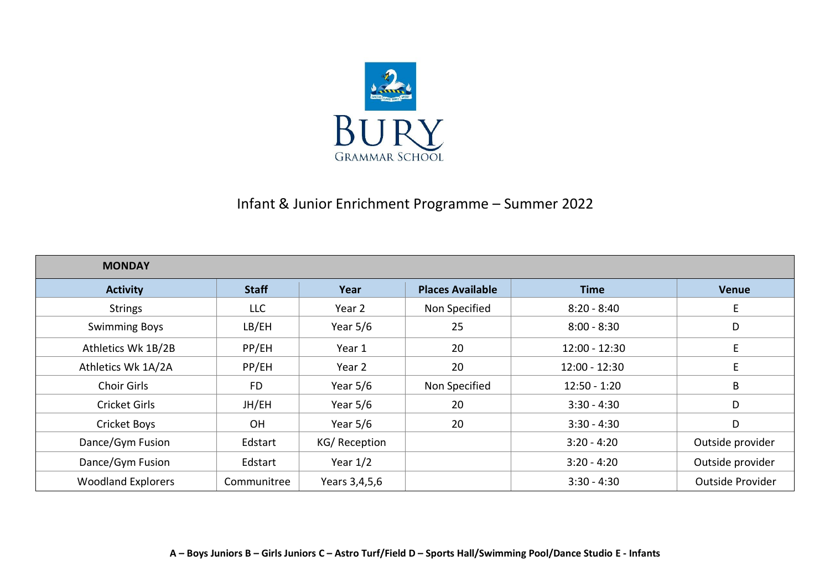

## Infant & Junior Enrichment Programme – Summer 2022

| <b>MONDAY</b>             |              |               |                         |                 |                  |
|---------------------------|--------------|---------------|-------------------------|-----------------|------------------|
| <b>Activity</b>           | <b>Staff</b> | Year          | <b>Places Available</b> | <b>Time</b>     | <b>Venue</b>     |
| <b>Strings</b>            | <b>LLC</b>   | Year 2        | Non Specified           | $8:20 - 8:40$   | E                |
| <b>Swimming Boys</b>      | LB/EH        | Year $5/6$    | 25                      | $8:00 - 8:30$   | D                |
| Athletics Wk 1B/2B        | PP/EH        | Year 1        | 20                      | $12:00 - 12:30$ | E                |
| Athletics Wk 1A/2A        | PP/EH        | Year 2        | 20                      | $12:00 - 12:30$ | E                |
| <b>Choir Girls</b>        | <b>FD</b>    | Year $5/6$    | Non Specified           | $12:50 - 1:20$  | Β                |
| Cricket Girls             | JH/EH        | Year $5/6$    | 20                      | $3:30 - 4:30$   | D                |
| <b>Cricket Boys</b>       | <b>OH</b>    | Year $5/6$    | 20                      | $3:30 - 4:30$   | D                |
| Dance/Gym Fusion          | Edstart      | KG/Reception  |                         | $3:20 - 4:20$   | Outside provider |
| Dance/Gym Fusion          | Edstart      | Year $1/2$    |                         | $3:20 - 4:20$   | Outside provider |
| <b>Woodland Explorers</b> | Communitree  | Years 3,4,5,6 |                         | $3:30 - 4:30$   | Outside Provider |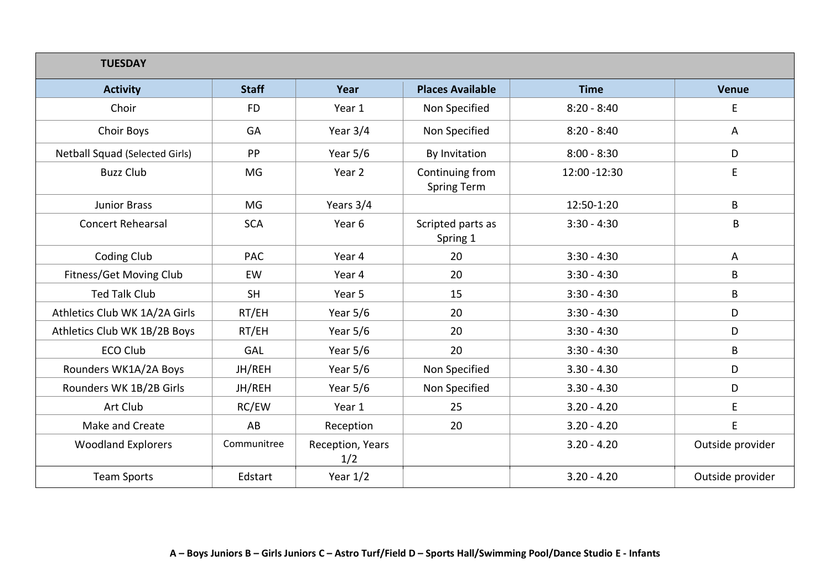| <b>TUESDAY</b>                 |              |                         |                                       |               |                  |  |
|--------------------------------|--------------|-------------------------|---------------------------------------|---------------|------------------|--|
| <b>Activity</b>                | <b>Staff</b> | Year                    | <b>Places Available</b>               | <b>Time</b>   | <b>Venue</b>     |  |
| Choir                          | <b>FD</b>    | Year 1                  | Non Specified                         | $8:20 - 8:40$ | E                |  |
| Choir Boys                     | GA           | Year 3/4                | Non Specified                         | $8:20 - 8:40$ | A                |  |
| Netball Squad (Selected Girls) | PP           | Year $5/6$              | By Invitation                         | $8:00 - 8:30$ | D                |  |
| <b>Buzz Club</b>               | MG           | Year 2                  | Continuing from<br><b>Spring Term</b> | 12:00 - 12:30 | E                |  |
| <b>Junior Brass</b>            | <b>MG</b>    | Years 3/4               |                                       | 12:50-1:20    | B                |  |
| <b>Concert Rehearsal</b>       | <b>SCA</b>   | Year 6                  | Scripted parts as<br>Spring 1         | $3:30 - 4:30$ | B                |  |
| Coding Club                    | <b>PAC</b>   | Year 4                  | 20                                    | $3:30 - 4:30$ | A                |  |
| Fitness/Get Moving Club        | EW           | Year 4                  | 20                                    | $3:30 - 4:30$ | B                |  |
| <b>Ted Talk Club</b>           | <b>SH</b>    | Year 5                  | 15                                    | $3:30 - 4:30$ | B                |  |
| Athletics Club WK 1A/2A Girls  | RT/EH        | Year $5/6$              | 20                                    | $3:30 - 4:30$ | D                |  |
| Athletics Club WK 1B/2B Boys   | RT/EH        | Year $5/6$              | 20                                    | $3:30 - 4:30$ | D                |  |
| <b>ECO Club</b>                | <b>GAL</b>   | Year $5/6$              | 20                                    | $3:30 - 4:30$ | B                |  |
| Rounders WK1A/2A Boys          | JH/REH       | Year $5/6$              | Non Specified                         | $3.30 - 4.30$ | D                |  |
| Rounders WK 1B/2B Girls        | JH/REH       | Year $5/6$              | Non Specified                         | $3.30 - 4.30$ | D                |  |
| Art Club                       | RC/EW        | Year 1                  | 25                                    | $3.20 - 4.20$ | E                |  |
| Make and Create                | AB           | Reception               | 20                                    | $3.20 - 4.20$ | $\mathsf E$      |  |
| <b>Woodland Explorers</b>      | Communitree  | Reception, Years<br>1/2 |                                       | $3.20 - 4.20$ | Outside provider |  |
| <b>Team Sports</b>             | Edstart      | Year $1/2$              |                                       | $3.20 - 4.20$ | Outside provider |  |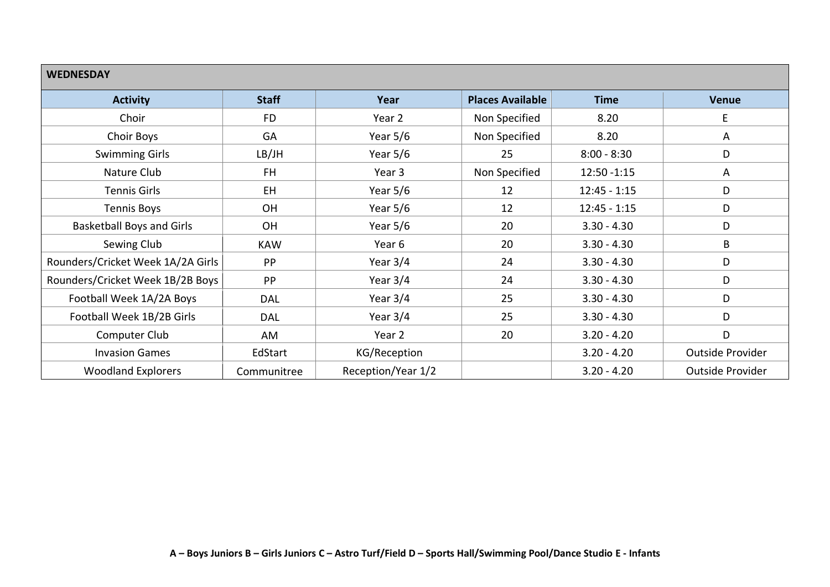| <b>WEDNESDAY</b>                  |              |                    |                         |                |                  |  |  |
|-----------------------------------|--------------|--------------------|-------------------------|----------------|------------------|--|--|
| <b>Activity</b>                   | <b>Staff</b> | Year               | <b>Places Available</b> | <b>Time</b>    | <b>Venue</b>     |  |  |
| Choir                             | <b>FD</b>    | Year 2             | Non Specified           | 8.20           | E                |  |  |
| Choir Boys                        | GA           | Year $5/6$         | Non Specified           | 8.20           | A                |  |  |
| <b>Swimming Girls</b>             | LB/JH        | Year $5/6$         | 25                      | $8:00 - 8:30$  | D                |  |  |
| Nature Club                       | FH.          | Year 3             | Non Specified           | $12:50 - 1:15$ | A                |  |  |
| <b>Tennis Girls</b>               | <b>EH</b>    | Year $5/6$         | 12                      | $12:45 - 1:15$ | D                |  |  |
| <b>Tennis Boys</b>                | OH           | Year $5/6$         | 12                      | $12:45 - 1:15$ | D                |  |  |
| <b>Basketball Boys and Girls</b>  | OH           | Year $5/6$         | 20                      | $3.30 - 4.30$  | D                |  |  |
| Sewing Club                       | <b>KAW</b>   | Year 6             | 20                      | $3.30 - 4.30$  | B                |  |  |
| Rounders/Cricket Week 1A/2A Girls | PP           | Year $3/4$         | 24                      | $3.30 - 4.30$  | D                |  |  |
| Rounders/Cricket Week 1B/2B Boys  | PP           | Year $3/4$         | 24                      | $3.30 - 4.30$  | D                |  |  |
| Football Week 1A/2A Boys          | <b>DAL</b>   | Year $3/4$         | 25                      | $3.30 - 4.30$  | D                |  |  |
| Football Week 1B/2B Girls         | <b>DAL</b>   | Year 3/4           | 25                      | $3.30 - 4.30$  | D                |  |  |
| Computer Club                     | AM           | Year 2             | 20                      | $3.20 - 4.20$  | D                |  |  |
| <b>Invasion Games</b>             | EdStart      | KG/Reception       |                         | $3.20 - 4.20$  | Outside Provider |  |  |
| <b>Woodland Explorers</b>         | Communitree  | Reception/Year 1/2 |                         | $3.20 - 4.20$  | Outside Provider |  |  |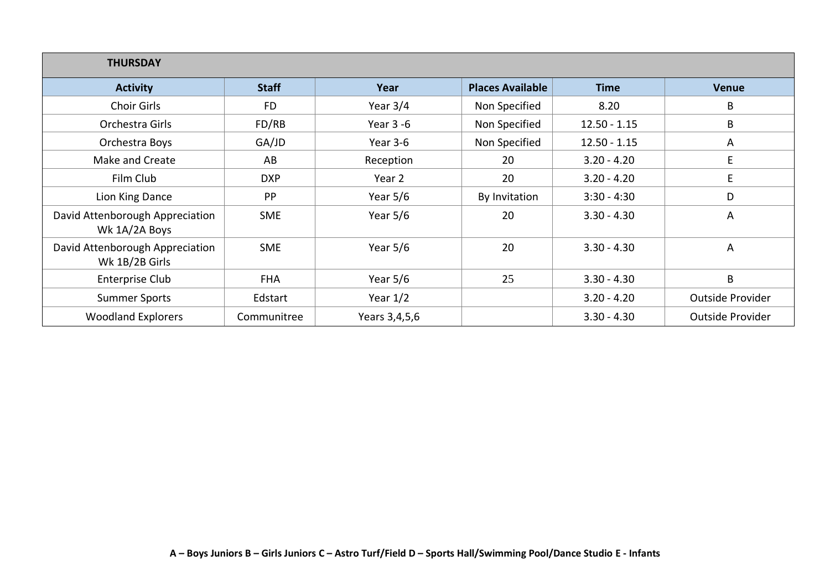| <b>THURSDAY</b>                                   |              |               |                         |                |                         |
|---------------------------------------------------|--------------|---------------|-------------------------|----------------|-------------------------|
| <b>Activity</b>                                   | <b>Staff</b> | Year          | <b>Places Available</b> | <b>Time</b>    | <b>Venue</b>            |
| <b>Choir Girls</b>                                | <b>FD</b>    | Year $3/4$    | Non Specified           | 8.20           | B                       |
| Orchestra Girls                                   | FD/RB        | Year $3 - 6$  | Non Specified           | $12.50 - 1.15$ | B                       |
| Orchestra Boys                                    | GA/JD        | Year 3-6      | Non Specified           | $12.50 - 1.15$ | A                       |
| Make and Create                                   | AB           | Reception     | 20                      | $3.20 - 4.20$  | E                       |
| Film Club                                         | <b>DXP</b>   | Year 2        | 20                      | $3.20 - 4.20$  | E                       |
| Lion King Dance                                   | PP           | Year $5/6$    | By Invitation           | $3:30 - 4:30$  | D                       |
| David Attenborough Appreciation<br>Wk 1A/2A Boys  | <b>SME</b>   | Year $5/6$    | 20                      | $3.30 - 4.30$  | A                       |
| David Attenborough Appreciation<br>Wk 1B/2B Girls | <b>SME</b>   | Year $5/6$    | 20                      | $3.30 - 4.30$  | A                       |
| <b>Enterprise Club</b>                            | <b>FHA</b>   | Year $5/6$    | 25                      | $3.30 - 4.30$  | B                       |
| <b>Summer Sports</b>                              | Edstart      | Year $1/2$    |                         | $3.20 - 4.20$  | Outside Provider        |
| <b>Woodland Explorers</b>                         | Communitree  | Years 3,4,5,6 |                         | $3.30 - 4.30$  | <b>Outside Provider</b> |